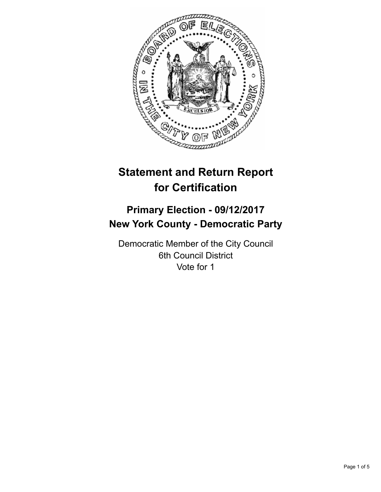

# **Statement and Return Report for Certification**

## **Primary Election - 09/12/2017 New York County - Democratic Party**

Democratic Member of the City Council 6th Council District Vote for 1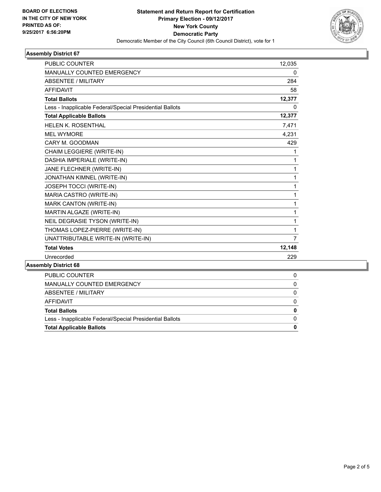

## **Assembly District 67**

| <b>PUBLIC COUNTER</b>                                    | 12,035         |
|----------------------------------------------------------|----------------|
| <b>MANUALLY COUNTED EMERGENCY</b>                        | 0              |
| <b>ABSENTEE / MILITARY</b>                               | 284            |
| AFFIDAVIT                                                | 58             |
| <b>Total Ballots</b>                                     | 12,377         |
| Less - Inapplicable Federal/Special Presidential Ballots | 0              |
| <b>Total Applicable Ballots</b>                          | 12,377         |
| <b>HELEN K. ROSENTHAL</b>                                | 7,471          |
| <b>MEL WYMORE</b>                                        | 4,231          |
| CARY M. GOODMAN                                          | 429            |
| CHAIM LEGGIERE (WRITE-IN)                                | 1              |
| DASHIA IMPERIALE (WRITE-IN)                              | 1              |
| JANE FLECHNER (WRITE-IN)                                 | 1              |
| JONATHAN KIMNEL (WRITE-IN)                               | 1              |
| JOSEPH TOCCI (WRITE-IN)                                  | 1              |
| MARIA CASTRO (WRITE-IN)                                  | 1              |
| MARK CANTON (WRITE-IN)                                   | 1              |
| MARTIN ALGAZE (WRITE-IN)                                 | 1              |
| NEIL DEGRASIE TYSON (WRITE-IN)                           | 1              |
| THOMAS LOPEZ-PIERRE (WRITE-IN)                           | 1              |
| UNATTRIBUTABLE WRITE-IN (WRITE-IN)                       | $\overline{7}$ |
| <b>Total Votes</b>                                       | 12,148         |
| Unrecorded                                               | 229            |
| mhly Nietriot 68                                         |                |

## **Assembly District 68**

| <b>PUBLIC COUNTER</b>                                    |   |
|----------------------------------------------------------|---|
| MANUALLY COUNTED EMERGENCY                               | 0 |
| ABSENTEE / MILITARY                                      | 0 |
| AFFIDAVIT                                                |   |
| <b>Total Ballots</b>                                     | 0 |
| Less - Inapplicable Federal/Special Presidential Ballots |   |
| <b>Total Applicable Ballots</b>                          | 0 |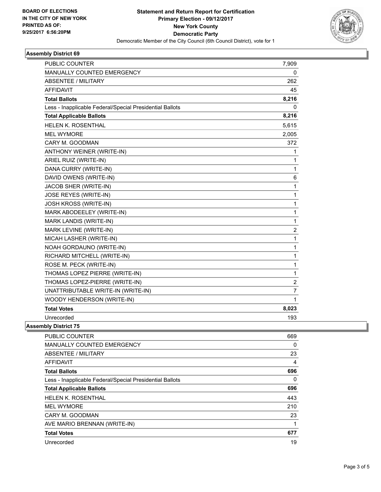

## **Assembly District 69**

| <b>PUBLIC COUNTER</b>                                    | 7,909          |
|----------------------------------------------------------|----------------|
| <b>MANUALLY COUNTED EMERGENCY</b>                        | 0              |
| <b>ABSENTEE / MILITARY</b>                               | 262            |
| <b>AFFIDAVIT</b>                                         | 45             |
| <b>Total Ballots</b>                                     | 8,216          |
| Less - Inapplicable Federal/Special Presidential Ballots | 0              |
| <b>Total Applicable Ballots</b>                          | 8,216          |
| HELEN K. ROSENTHAL                                       | 5,615          |
| <b>MEL WYMORE</b>                                        | 2,005          |
| CARY M. GOODMAN                                          | 372            |
| ANTHONY WEINER (WRITE-IN)                                | 1              |
| ARIEL RUIZ (WRITE-IN)                                    | 1              |
| DANA CURRY (WRITE-IN)                                    | 1              |
| DAVID OWENS (WRITE-IN)                                   | 6              |
| JACOB SHER (WRITE-IN)                                    | 1              |
| JOSE REYES (WRITE-IN)                                    | 1              |
| JOSH KROSS (WRITE-IN)                                    | 1              |
| MARK ABODEELEY (WRITE-IN)                                | 1              |
| MARK LANDIS (WRITE-IN)                                   | 1              |
| MARK LEVINE (WRITE-IN)                                   | 2              |
| MICAH LASHER (WRITE-IN)                                  | 1              |
| NOAH GORDAUNO (WRITE-IN)                                 | 1              |
| RICHARD MITCHELL (WRITE-IN)                              | 1              |
| ROSE M. PECK (WRITE-IN)                                  | 1              |
| THOMAS LOPEZ PIERRE (WRITE-IN)                           | 1              |
| THOMAS LOPEZ-PIERRE (WRITE-IN)                           | $\overline{c}$ |
| UNATTRIBUTABLE WRITE-IN (WRITE-IN)                       | 7              |
| WOODY HENDERSON (WRITE-IN)                               | 1              |
| <b>Total Votes</b>                                       | 8,023          |
| Unrecorded                                               | 193            |

**Assembly District 75**

| <b>PUBLIC COUNTER</b>                                    | 669 |
|----------------------------------------------------------|-----|
| <b>MANUALLY COUNTED EMERGENCY</b>                        | 0   |
| ABSENTEE / MILITARY                                      | 23  |
| AFFIDAVIT                                                | 4   |
| <b>Total Ballots</b>                                     | 696 |
| Less - Inapplicable Federal/Special Presidential Ballots | 0   |
| <b>Total Applicable Ballots</b>                          | 696 |
| <b>HELEN K. ROSENTHAL</b>                                | 443 |
| <b>MEL WYMORE</b>                                        | 210 |
| CARY M. GOODMAN                                          | 23  |
| AVE MARIO BRENNAN (WRITE-IN)                             | 1   |
| <b>Total Votes</b>                                       | 677 |
| Unrecorded                                               | 19  |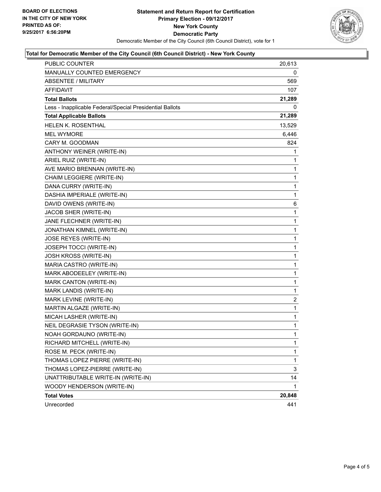

## **Total for Democratic Member of the City Council (6th Council District) - New York County**

| PUBLIC COUNTER                                           | 20,613       |
|----------------------------------------------------------|--------------|
| MANUALLY COUNTED EMERGENCY                               | 0            |
| ABSENTEE / MILITARY                                      | 569          |
| AFFIDAVIT                                                | 107          |
| <b>Total Ballots</b>                                     | 21,289       |
| Less - Inapplicable Federal/Special Presidential Ballots | 0            |
| <b>Total Applicable Ballots</b>                          | 21,289       |
| <b>HELEN K. ROSENTHAL</b>                                | 13,529       |
| <b>MEL WYMORE</b>                                        | 6,446        |
| CARY M. GOODMAN                                          | 824          |
| ANTHONY WEINER (WRITE-IN)                                | 1            |
| ARIEL RUIZ (WRITE-IN)                                    | 1            |
| AVE MARIO BRENNAN (WRITE-IN)                             | 1            |
| CHAIM LEGGIERE (WRITE-IN)                                | $\mathbf{1}$ |
| DANA CURRY (WRITE-IN)                                    | $\mathbf 1$  |
| DASHIA IMPERIALE (WRITE-IN)                              | 1            |
| DAVID OWENS (WRITE-IN)                                   | 6            |
| JACOB SHER (WRITE-IN)                                    | $\mathbf{1}$ |
| JANE FLECHNER (WRITE-IN)                                 | 1            |
| JONATHAN KIMNEL (WRITE-IN)                               | $\mathbf 1$  |
| JOSE REYES (WRITE-IN)                                    | $\mathbf 1$  |
| JOSEPH TOCCI (WRITE-IN)                                  | 1            |
| JOSH KROSS (WRITE-IN)                                    | 1            |
| MARIA CASTRO (WRITE-IN)                                  | 1            |
| MARK ABODEELEY (WRITE-IN)                                | 1            |
| MARK CANTON (WRITE-IN)                                   | $\mathbf 1$  |
| MARK LANDIS (WRITE-IN)                                   | 1            |
| MARK LEVINE (WRITE-IN)                                   | 2            |
| MARTIN ALGAZE (WRITE-IN)                                 | 1            |
| MICAH LASHER (WRITE-IN)                                  | 1            |
| NEIL DEGRASIE TYSON (WRITE-IN)                           | 1            |
| NOAH GORDAUNO (WRITE-IN)                                 | $\mathbf{1}$ |
| RICHARD MITCHELL (WRITE-IN)                              | 1            |
| ROSE M. PECK (WRITE-IN)                                  | 1            |
| THOMAS LOPEZ PIERRE (WRITE-IN)                           | $\mathbf 1$  |
| THOMAS LOPEZ-PIERRE (WRITE-IN)                           | 3            |
| UNATTRIBUTABLE WRITE-IN (WRITE-IN)                       | 14           |
| WOODY HENDERSON (WRITE-IN)                               | 1            |
| <b>Total Votes</b>                                       | 20,848       |
| Unrecorded                                               | 441          |